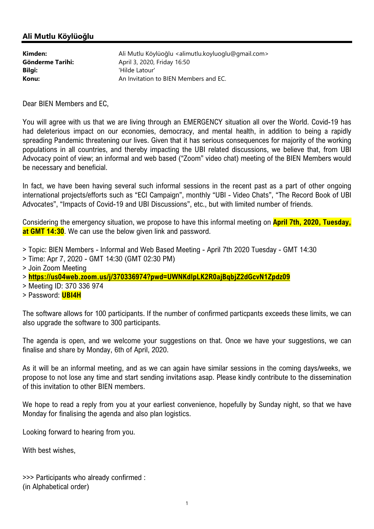## Ali Mutlu Köylüoğlu

| Kimden:          | Ali Mutlu Köylüoğlu <alimutlu.koyluoglu@gmail.com></alimutlu.koyluoglu@gmail.com> |
|------------------|-----------------------------------------------------------------------------------|
| Gönderme Tarihi: | April 3, 2020, Friday 16:50                                                       |
| Bilgi:           | 'Hilde Latour'                                                                    |
| Konu:            | An Invitation to BIEN Members and EC.                                             |

Dear BIEN Members and EC,

You will agree with us that we are living through an EMERGENCY situation all over the World. Covid-19 has had deleterious impact on our economies, democracy, and mental health, in addition to being a rapidly spreading Pandemic threatening our lives. Given that it has serious consequences for majority of the working populations in all countries, and thereby impacting the UBI related discussions, we believe that, from UBI Advocacy point of view; an informal and web based ("Zoom" video chat) meeting of the BIEN Members would be necessary and beneficial.

In fact, we have been having several such informal sessions in the recent past as a part of other ongoing international projects/efforts such as "ECI Campaign", monthly "UBI - Video Chats", "The Record Book of UBI Advocates", "Impacts of Covid-19 and UBI Discussions", etc., but with limited number of friends.

Considering the emergency situation, we propose to have this informal meeting on **April 7th, 2020, Tuesday,** at GMT 14:30. We can use the below given link and password.

> Topic: BIEN Members - Informal and Web Based Meeting - April 7th 2020 Tuesday - GMT 14:30

- > Time: Apr 7, 2020 GMT 14:30 (GMT 02:30 PM)
- > Join Zoom Meeting

> https://us04web.zoom.us/j/370336974?pwd=UWNKdlpLK2R0ajBqbjZ2dGcvN1Zpdz09

- > Meeting ID: 370 336 974
- > Password: UBI4H

The software allows for 100 participants. If the number of confirmed particpants exceeds these limits, we can also upgrade the software to 300 participants.

The agenda is open, and we welcome your suggestions on that. Once we have your suggestions, we can finalise and share by Monday, 6th of April, 2020.

As it will be an informal meeting, and as we can again have similar sessions in the coming days/weeks, we propose to not lose any time and start sending invitations asap. Please kindly contribute to the dissemination of this invitation to other BIEN members.

We hope to read a reply from you at your earliest convenience, hopefully by Sunday night, so that we have Monday for finalising the agenda and also plan logistics.

Looking forward to hearing from you.

With best wishes,

>>> Participants who already confirmed : (in Alphabetical order)